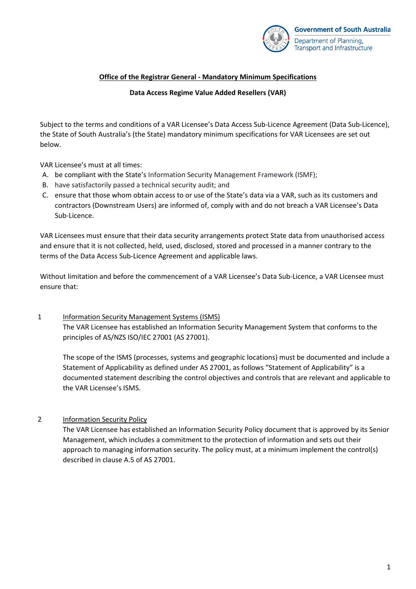

## **Office of the Registrar General - Mandatory Minimum Specifications**

#### **Data Access Regime Value Added Resellers (VAR)**

Subject to the terms and conditions of a VAR Licensee's Data Access Sub-Licence Agreement (Data Sub-Licence), the State of South Australia's (the State) mandatory minimum specifications for VAR Licensees are set out below.

VAR Licensee's must at all times:

- A. be compliant with the State's Information Security Management Framework (ISMF);
- B. have satisfactorily passed a technical security audit; and
- C. ensure that those whom obtain access to or use of the State's data via a VAR, such as its customers and contractors (Downstream Users) are informed of, comply with and do not breach a VAR Licensee's Data Sub-Licence.

VAR Licensees must ensure that their data security arrangements protect State data from unauthorised access and ensure that it is not collected, held, used, disclosed, stored and processed in a manner contrary to the terms of the Data Access Sub-Licence Agreement and applicable laws.

Without limitation and before the commencement of a VAR Licensee's Data Sub-Licence, a VAR Licensee must ensure that:

1 Information Security Management Systems (ISMS) The VAR Licensee has established an Information Security Management System that conforms to the principles of AS/NZS ISO/IEC 27001 (AS 27001).

The scope of the ISMS (processes, systems and geographic locations) must be documented and include a Statement of Applicability as defined under AS 27001, as follows "Statement of Applicability" is a documented statement describing the control objectives and controls that are relevant and applicable to the VAR Licensee's ISMS.

# 2 Information Security Policy

The VAR Licensee has established an Information Security Policy document that is approved by its Senior Management, which includes a commitment to the protection of information and sets out their approach to managing information security. The policy must, at a minimum implement the control(s) described in clause A.5 of AS 27001.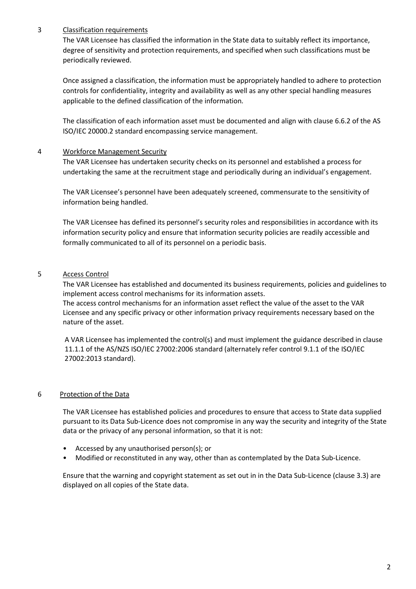# 3 Classification requirements

The VAR Licensee has classified the information in the State data to suitably reflect its importance, degree of sensitivity and protection requirements, and specified when such classifications must be periodically reviewed.

Once assigned a classification, the information must be appropriately handled to adhere to protection controls for confidentiality, integrity and availability as well as any other special handling measures applicable to the defined classification of the information*.*

The classification of each information asset must be documented and align with clause 6.6.2 of the AS ISO/IEC 20000.2 standard encompassing service management.

## 4 Workforce Management Security

The VAR Licensee has undertaken security checks on its personnel and established a process for undertaking the same at the recruitment stage and periodically during an individual's engagement.

The VAR Licensee's personnel have been adequately screened, commensurate to the sensitivity of information being handled.

The VAR Licensee has defined its personnel's security roles and responsibilities in accordance with its information security policy and ensure that information security policies are readily accessible and formally communicated to all of its personnel on a periodic basis.

## 5 Access Control

The VAR Licensee has established and documented its business requirements, policies and guidelines to implement access control mechanisms for its information assets.

The access control mechanisms for an information asset reflect the value of the asset to the VAR Licensee and any specific privacy or other information privacy requirements necessary based on the nature of the asset.

A VAR Licensee has implemented the control(s) and must implement the guidance described in clause 11.1.1 of the AS/NZS ISO/IEC 27002:2006 standard (alternately refer control 9.1.1 of the ISO/IEC 27002:2013 standard).

#### 6 Protection of the Data

The VAR Licensee has established policies and procedures to ensure that access to State data supplied pursuant to its Data Sub-Licence does not compromise in any way the security and integrity of the State data or the privacy of any personal information, so that it is not:

- Accessed by any unauthorised person(s); or
- Modified or reconstituted in any way, other than as contemplated by the Data Sub-Licence.

Ensure that the warning and copyright statement as set out in in the Data Sub-Licence (clause 3.3) are displayed on all copies of the State data.